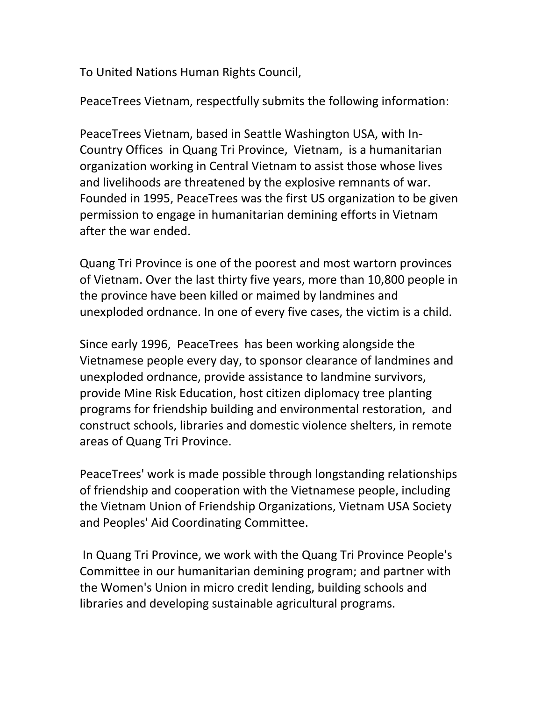To United Nations Human Rights Council,

PeaceTrees Vietnam, respectfully submits the following information:

PeaceTrees Vietnam, based in Seattle Washington USA, with In-Country Offices in Quang Tri Province, Vietnam, is a humanitarian organization working in Central Vietnam to assist those whose lives and livelihoods are threatened by the explosive remnants of war. Founded in 1995, PeaceTrees was the first US organization to be given permission to engage in humanitarian demining efforts in Vietnam after the war ended.

Quang Tri Province is one of the poorest and most wartorn provinces of Vietnam. Over the last thirty five years, more than 10,800 people in the province have been killed or maimed by landmines and unexploded ordnance. In one of every five cases, the victim is a child.

Since early 1996, PeaceTrees has been working alongside the Vietnamese people every day, to sponsor clearance of landmines and unexploded ordnance, provide assistance to landmine survivors, provide Mine Risk Education, host citizen diplomacy tree planting programs for friendship building and environmental restoration, and construct schools, libraries and domestic violence shelters, in remote areas of Quang Tri Province.

PeaceTrees' work is made possible through longstanding relationships of friendship and cooperation with the Vietnamese people, including the Vietnam Union of Friendship Organizations, Vietnam USA Society and Peoples' Aid Coordinating Committee.

In Quang Tri Province, we work with the Quang Tri Province People's Committee in our humanitarian demining program; and partner with the Women's Union in micro credit lending, building schools and libraries and developing sustainable agricultural programs.